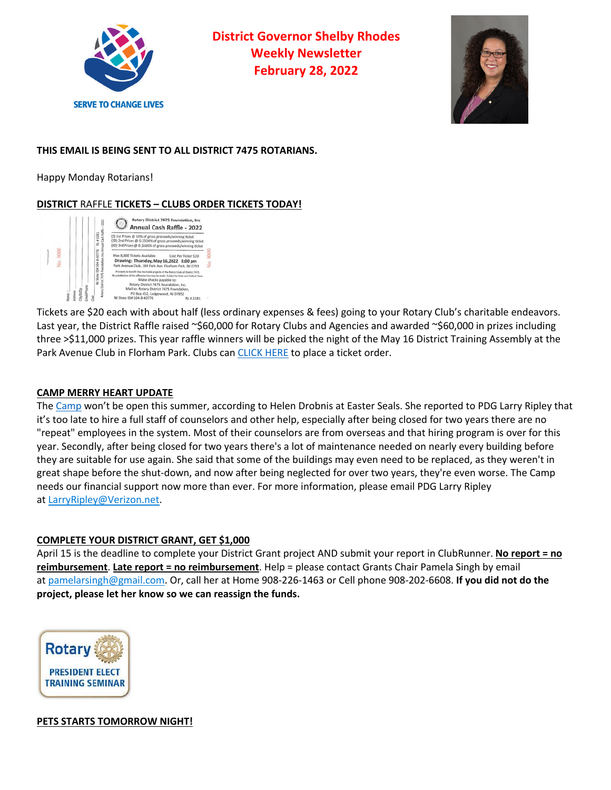

**District Governor Shelby Rhodes Weekly Newsletter February 28, 2022**



## **THIS EMAIL IS BEING SENT TO ALL DISTRICT 7475 ROTARIANS.**

Happy Monday Rotarians!

# **DISTRICT** RAFFLE **TICKETS – CLUBS ORDER TICKETS TODAY!**



Tickets are \$20 each with about half (less ordinary expenses & fees) going to your Rotary Club's charitable endeavors. Last year, the District Raffle raised ~\$60,000 for Rotary Clubs and Agencies and awarded ~\$60,000 in prizes including three >\$11,000 prizes. This year raffle winners will be picked the night of the May 16 District Training Assembly at the Park Avenue Club in Florham Park. Clubs can CLICK HERE to place a ticket order.

#### **CAMP MERRY HEART UPDATE**

The Camp won't be open this summer, according to Helen Drobnis at Easter Seals. She reported to PDG Larry Ripley that it's too late to hire a full staff of counselors and other help, especially after being closed for two years there are no "repeat" employees in the system. Most of their counselors are from overseas and that hiring program is over for this year. Secondly, after being closed for two years there's a lot of maintenance needed on nearly every building before they are suitable for use again. She said that some of the buildings may even need to be replaced, as they weren't in great shape before the shut-down, and now after being neglected for over two years, they're even worse. The Camp needs our financial support now more than ever. For more information, please email PDG Larry Ripley at LarryRipley@Verizon.net.

#### **COMPLETE YOUR DISTRICT GRANT, GET \$1,000**

April 15 is the deadline to complete your District Grant project AND submit your report in ClubRunner. **No report = no reimbursement**. **Late report = no reimbursement**. Help = please contact Grants Chair Pamela Singh by email at pamelarsingh@gmail.com. Or, call her at Home 908-226-1463 or Cell phone 908-202-6608. **If you did not do the project, please let her know so we can reassign the funds.**



**PETS STARTS TOMORROW NIGHT!**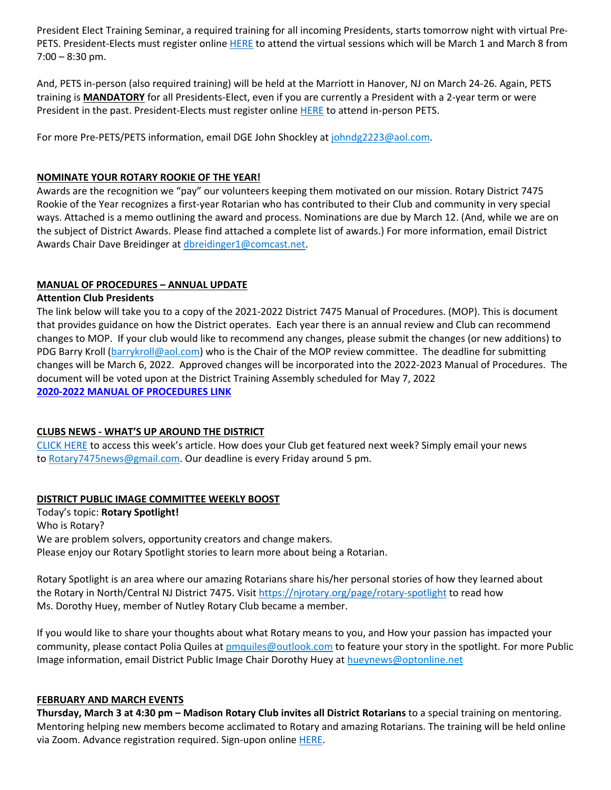President Elect Training Seminar, a required training for all incoming Presidents, starts tomorrow night with virtual Pre-PETS. President-Elects must register online HERE to attend the virtual sessions which will be March 1 and March 8 from 7:00 – 8:30 pm.

And, PETS in-person (also required training) will be held at the Marriott in Hanover, NJ on March 24-26. Again, PETS training is **MANDATORY** for all Presidents-Elect, even if you are currently a President with a 2-year term or were President in the past. President-Elects must register online HERE to attend in-person PETS.

For more Pre-PETS/PETS information, email DGE John Shockley at johndg2223@aol.com.

### **NOMINATE YOUR ROTARY ROOKIE OF THE YEAR!**

Awards are the recognition we "pay" our volunteers keeping them motivated on our mission. Rotary District 7475 Rookie of the Year recognizes a first-year Rotarian who has contributed to their Club and community in very special ways. Attached is a memo outlining the award and process. Nominations are due by March 12. (And, while we are on the subject of District Awards. Please find attached a complete list of awards.) For more information, email District Awards Chair Dave Breidinger at dbreidinger1@comcast.net.

### **MANUAL OF PROCEDURES – ANNUAL UPDATE**

#### **Attention Club Presidents**

The link below will take you to a copy of the 2021-2022 District 7475 Manual of Procedures. (MOP). This is document that provides guidance on how the District operates. Each year there is an annual review and Club can recommend changes to MOP. If your club would like to recommend any changes, please submit the changes (or new additions) to PDG Barry Kroll (barrykroll@aol.com) who is the Chair of the MOP review committee. The deadline for submitting changes will be March 6, 2022. Approved changes will be incorporated into the 2022-2023 Manual of Procedures. The document will be voted upon at the District Training Assembly scheduled for May 7, 2022 **2020-2022 MANUAL OF PROCEDURES LINK**

#### **CLUBS NEWS - WHAT'S UP AROUND THE DISTRICT**

CLICK HERE to access this week's article. How does your Club get featured next week? Simply email your news to Rotary7475news@gmail.com. Our deadline is every Friday around 5 pm.

## **DISTRICT PUBLIC IMAGE COMMITTEE WEEKLY BOOST**

Today's topic: **Rotary Spotlight!** Who is Rotary? We are problem solvers, opportunity creators and change makers. Please enjoy our Rotary Spotlight stories to learn more about being a Rotarian.

Rotary Spotlight is an area where our amazing Rotarians share his/her personal stories of how they learned about the Rotary in North/Central NJ District 7475. Visit https://njrotary.org/page/rotary-spotlight to read how Ms. Dorothy Huey, member of Nutley Rotary Club became a member.

If you would like to share your thoughts about what Rotary means to you, and How your passion has impacted your community, please contact Polia Quiles at pmquiles@outlook.com to feature your story in the spotlight. For more Public Image information, email District Public Image Chair Dorothy Huey at hueynews@optonline.net

#### **FEBRUARY AND MARCH EVENTS**

**Thursday, March 3 at 4:30 pm – Madison Rotary Club invites all District Rotarians** to a special training on mentoring. Mentoring helping new members become acclimated to Rotary and amazing Rotarians. The training will be held online via Zoom. Advance registration required. Sign-upon online HERE.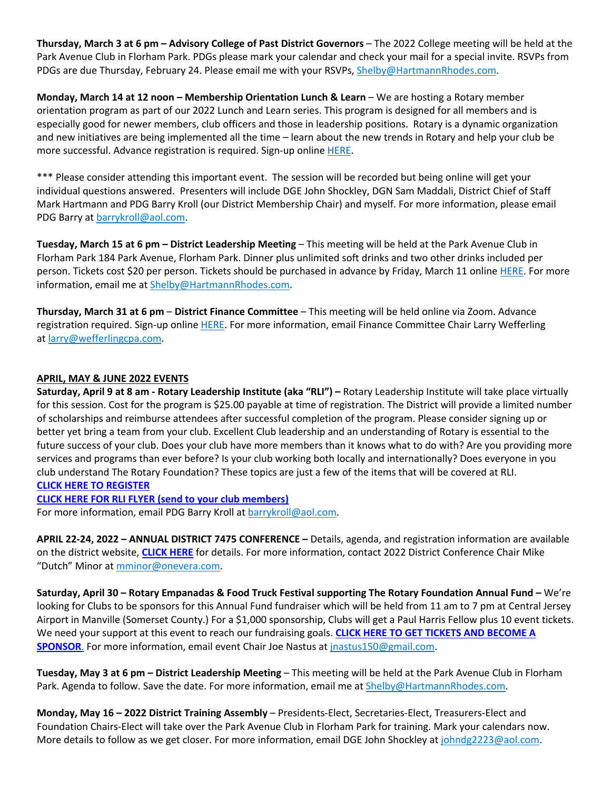**Thursday, March 3 at 6 pm – Advisory College of Past District Governors** – The 2022 College meeting will be held at the Park Avenue Club in Florham Park. PDGs please mark your calendar and check your mail for a special invite. RSVPs from PDGs are due Thursday, February 24. Please email me with your RSVPs, Shelby@HartmannRhodes.com.

**Monday, March 14 at 12 noon – Membership Orientation Lunch & Learn** – We are hosting a Rotary member orientation program as part of our 2022 Lunch and Learn series. This program is designed for all members and is especially good for newer members, club officers and those in leadership positions. Rotary is a dynamic organization and new initiatives are being implemented all the time – learn about the new trends in Rotary and help your club be more successful. Advance registration is required. Sign-up online HERE.

\*\*\* Please consider attending this important event. The session will be recorded but being online will get your individual questions answered. Presenters will include DGE John Shockley, DGN Sam Maddali, District Chief of Staff Mark Hartmann and PDG Barry Kroll (our District Membership Chair) and myself. For more information, please email PDG Barry at barrykroll@aol.com.

**Tuesday, March 15 at 6 pm – District Leadership Meeting** – This meeting will be held at the Park Avenue Club in Florham Park 184 Park Avenue, Florham Park. Dinner plus unlimited soft drinks and two other drinks included per person. Tickets cost \$20 per person. Tickets should be purchased in advance by Friday, March 11 online HERE. For more information, email me at Shelby@HartmannRhodes.com.

**Thursday, March 31 at 6 pm** – **District Finance Committee** – This meeting will be held online via Zoom. Advance registration required. Sign-up online HERE. For more information, email Finance Committee Chair Larry Wefferling at larry@wefferlingcpa.com.

#### **APRIL, MAY & JUNE 2022 EVENTS**

**Saturday, April 9 at 8 am - Rotary Leadership Institute (aka "RLI") –** Rotary Leadership Institute will take place virtually for this session. Cost for the program is \$25.00 payable at time of registration. The District will provide a limited number of scholarships and reimburse attendees after successful completion of the program. Please consider signing up or better yet bring a team from your club. Excellent Club leadership and an understanding of Rotary is essential to the future success of your club. Does your club have more members than it knows what to do with? Are you providing more services and programs than ever before? Is your club working both locally and internationally? Does everyone in you club understand The Rotary Foundation? These topics are just a few of the items that will be covered at RLI. **CLICK HERE TO REGISTER**

**CLICK HERE FOR RLI FLYER (send to your club members)**

For more information, email PDG Barry Kroll at **barrykroll@aol.com**.

**APRIL 22-24, 2022 – ANNUAL DISTRICT 7475 CONFERENCE –** Details, agenda, and registration information are available on the district website, **CLICK HERE** for details. For more information, contact 2022 District Conference Chair Mike "Dutch" Minor at mminor@onevera.com.

**Saturday, April 30 – Rotary Empanadas & Food Truck Festival supporting The Rotary Foundation Annual Fund –** We're looking for Clubs to be sponsors for this Annual Fund fundraiser which will be held from 11 am to 7 pm at Central Jersey Airport in Manville (Somerset County.) For a \$1,000 sponsorship, Clubs will get a Paul Harris Fellow plus 10 event tickets. We need your support at this event to reach our fundraising goals. **CLICK HERE TO GET TICKETS AND BECOME A SPONSOR**. For more information, email event Chair Joe Nastus at jnastus150@gmail.com.

**Tuesday, May 3 at 6 pm – District Leadership Meeting** – This meeting will be held at the Park Avenue Club in Florham Park. Agenda to follow. Save the date. For more information, email me at Shelby@HartmannRhodes.com.

**Monday, May 16 – 2022 District Training Assembly** – Presidents-Elect, Secretaries-Elect, Treasurers-Elect and Foundation Chairs-Elect will take over the Park Avenue Club in Florham Park for training. Mark your calendars now. More details to follow as we get closer. For more information, email DGE John Shockley at johndg2223@aol.com.